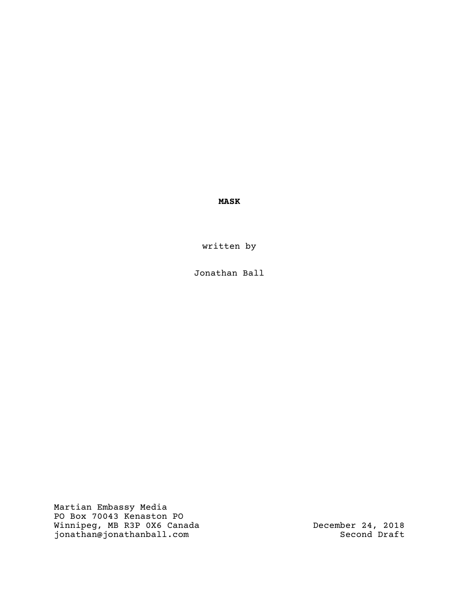**MASK**

written by

Jonathan Ball

Martian Embassy Media PO Box 70043 Kenaston PO Winnipeg, MB R3P 0X6 Canada jonathan@jonathanball.com

December 24, 2018 Second Draft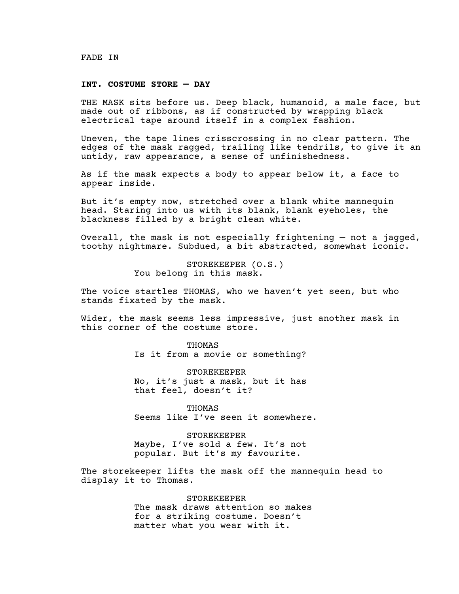#### FADE IN

## **INT. COSTUME STORE — DAY**

THE MASK sits before us. Deep black, humanoid, a male face, but made out of ribbons, as if constructed by wrapping black electrical tape around itself in a complex fashion.

Uneven, the tape lines crisscrossing in no clear pattern. The edges of the mask ragged, trailing like tendrils, to give it an untidy, raw appearance, a sense of unfinishedness.

As if the mask expects a body to appear below it, a face to appear inside.

But it's empty now, stretched over a blank white mannequin head. Staring into us with its blank, blank eyeholes, the blackness filled by a bright clean white.

Overall, the mask is not especially frightening — not a jagged, toothy nightmare. Subdued, a bit abstracted, somewhat iconic.

> STOREKEEPER (O.S.) You belong in this mask.

The voice startles THOMAS, who we haven't yet seen, but who stands fixated by the mask.

Wider, the mask seems less impressive, just another mask in this corner of the costume store.

> THOMAS Is it from a movie or something?

> STOREKEEPER No, it's just a mask, but it has that feel, doesn't it?

THOMAS Seems like I've seen it somewhere.

STOREKEEPER Maybe, I've sold a few. It's not popular. But it's my favourite.

The storekeeper lifts the mask off the mannequin head to display it to Thomas.

STOREKEEPER

The mask draws attention so makes for a striking costume. Doesn't matter what you wear with it.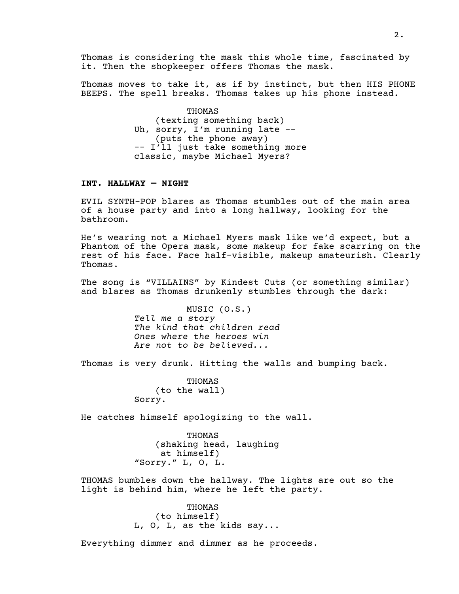Thomas is considering the mask this whole time, fascinated by it. Then the shopkeeper offers Thomas the mask.

Thomas moves to take it, as if by instinct, but then HIS PHONE BEEPS. The spell breaks. Thomas takes up his phone instead.

> THOMAS (texting something back) Uh, sorry, I'm running late -- (puts the phone away) -- I'll just take something more classic, maybe Michael Myers?

## **INT. HALLWAY — NIGHT**

EVIL SYNTH-POP blares as Thomas stumbles out of the main area of a house party and into a long hallway, looking for the bathroom.

He's wearing not a Michael Myers mask like we'd expect, but a Phantom of the Opera mask, some makeup for fake scarring on the rest of his face. Face half-visible, makeup amateurish. Clearly Thomas.

The song is "VILLAINS" by Kindest Cuts (or something similar) and blares as Thomas drunkenly stumbles through the dark:

> MUSIC (O.S.) *Tell me a story The kind that children read Ones where the heroes win Are not to be believed...*

Thomas is very drunk. Hitting the walls and bumping back.

THOMAS (to the wall) Sorry.

He catches himself apologizing to the wall.

THOMAS (shaking head, laughing at himself) "Sorry." L, O, L.

THOMAS bumbles down the hallway. The lights are out so the light is behind him, where he left the party.

> THOMAS (to himself) L, O, L, as the kids say...

Everything dimmer and dimmer as he proceeds.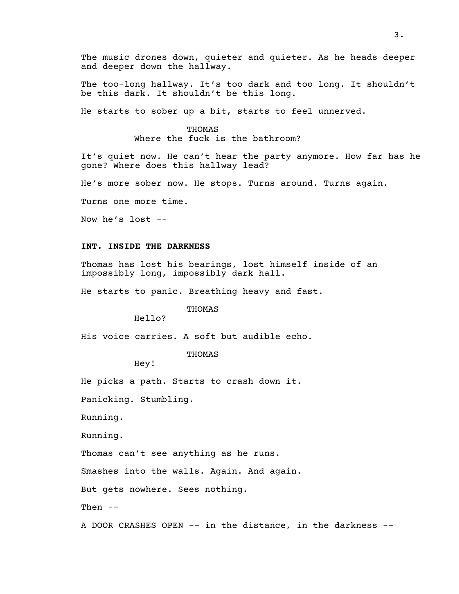The music drones down, quieter and quieter. As he heads deeper and deeper down the hallway.

The too-long hallway. It's too dark and too long. It shouldn't be this dark. It shouldn't be this long.

He starts to sober up a bit, starts to feel unnerved.

# THOMAS

Where the fuck is the bathroom?

It's quiet now. He can't hear the party anymore. How far has he gone? Where does this hallway lead?

He's more sober now. He stops. Turns around. Turns again.

Turns one more time.

Now he's lost --

#### **INT. INSIDE THE DARKNESS**

Thomas has lost his bearings, lost himself inside of an impossibly long, impossibly dark hall.

He starts to panic. Breathing heavy and fast.

# THOMAS

Hello?

His voice carries. A soft but audible echo.

## THOMAS

Hey!

He picks a path. Starts to crash down it.

Panicking. Stumbling.

Running.

Running.

Thomas can't see anything as he runs.

Smashes into the walls. Again. And again.

But gets nowhere. Sees nothing.

Then --

A DOOR CRASHES OPEN -- in the distance, in the darkness --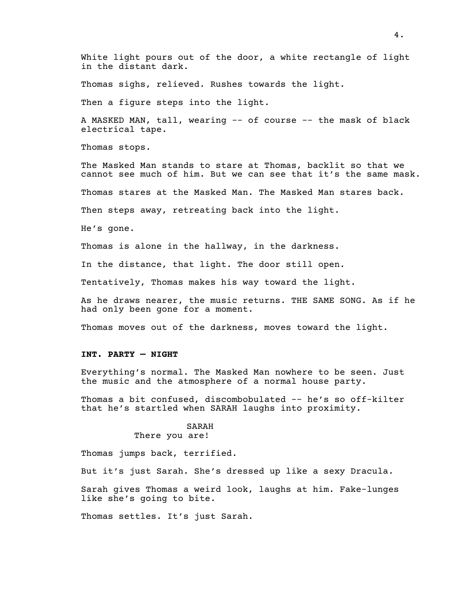White light pours out of the door, a white rectangle of light in the distant dark.

Thomas sighs, relieved. Rushes towards the light.

Then a figure steps into the light.

A MASKED MAN, tall, wearing -- of course -- the mask of black electrical tape.

Thomas stops.

The Masked Man stands to stare at Thomas, backlit so that we cannot see much of him. But we can see that it's the same mask.

Thomas stares at the Masked Man. The Masked Man stares back.

Then steps away, retreating back into the light.

He's gone.

Thomas is alone in the hallway, in the darkness.

In the distance, that light. The door still open.

Tentatively, Thomas makes his way toward the light.

As he draws nearer, the music returns. THE SAME SONG. As if he had only been gone for a moment.

Thomas moves out of the darkness, moves toward the light.

#### **INT. PARTY — NIGHT**

Everything's normal. The Masked Man nowhere to be seen. Just the music and the atmosphere of a normal house party.

Thomas a bit confused, discombobulated -- he's so off-kilter that he's startled when SARAH laughs into proximity.

# SARAH There you are!

Thomas jumps back, terrified.

But it's just Sarah. She's dressed up like a sexy Dracula.

Sarah gives Thomas a weird look, laughs at him. Fake-lunges like she's going to bite.

Thomas settles. It's just Sarah.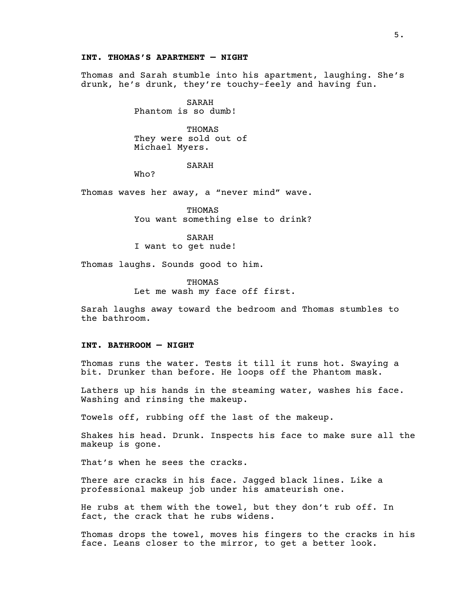## **INT. THOMAS'S APARTMENT — NIGHT**

Thomas and Sarah stumble into his apartment, laughing. She's drunk, he's drunk, they're touchy-feely and having fun.

> SARAH Phantom is so dumb!

THOMAS They were sold out of Michael Myers.

# SARAH

Who?

Thomas waves her away, a "never mind" wave.

THOMAS You want something else to drink?

SARAH I want to get nude!

Thomas laughs. Sounds good to him.

THOMAS Let me wash my face off first.

Sarah laughs away toward the bedroom and Thomas stumbles to the bathroom.

## **INT. BATHROOM — NIGHT**

Thomas runs the water. Tests it till it runs hot. Swaying a bit. Drunker than before. He loops off the Phantom mask.

Lathers up his hands in the steaming water, washes his face. Washing and rinsing the makeup.

Towels off, rubbing off the last of the makeup.

Shakes his head. Drunk. Inspects his face to make sure all the makeup is gone.

That's when he sees the cracks.

There are cracks in his face. Jagged black lines. Like a professional makeup job under his amateurish one.

He rubs at them with the towel, but they don't rub off. In fact, the crack that he rubs widens.

Thomas drops the towel, moves his fingers to the cracks in his face. Leans closer to the mirror, to get a better look.